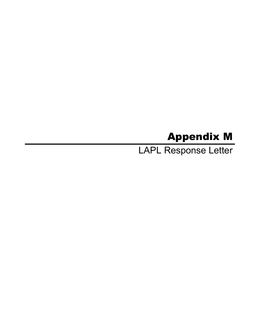# Appendix M

LAPL Response Letter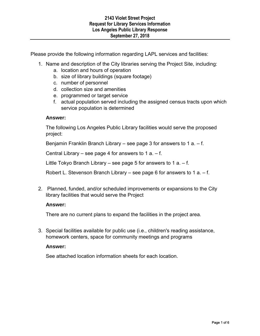Please provide the following information regarding LAPL services and facilities:

- 1. Name and description of the City libraries serving the Project Site, including:
	- a. location and hours of operation
	- b. size of library buildings (square footage)
	- c. number of personnel
	- d. collection size and amenities
	- e. programmed or target service
	- f. actual population served including the assigned census tracts upon which service population is determined

# **Answer:**

The following Los Angeles Public Library facilities would serve the proposed project:

Benjamin Franklin Branch Library – see page 3 for answers to 1 a. – f.

Central Library – see page 4 for answers to 1 a.  $-$  f.

Little Tokyo Branch Library – see page 5 for answers to 1 a.  $-$  f.

Robert L. Stevenson Branch Library – see page 6 for answers to 1 a. – f.

2. Planned, funded, and/or scheduled improvements or expansions to the City library facilities that would serve the Project

# **Answer:**

There are no current plans to expand the facilities in the project area.

3. Special facilities available for public use (i.e., children's reading assistance, homework centers, space for community meetings and programs

# **Answer:**

See attached location information sheets for each location.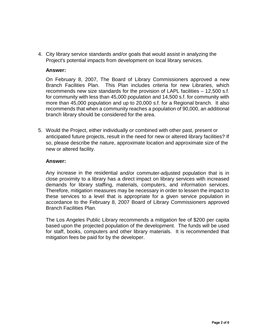4. City library service standards and/or goals that would assist in analyzing the Project's potential impacts from development on local library services.

# **Answer:**

On February 8, 2007, The Board of Library Commissioners approved a new Branch Facilities Plan. This Plan includes criteria for new Libraries, which recommends new size standards for the provision of LAPL facilities – 12,500 s.f. for community with less than 45,000 population and 14,500 s.f. for community with more than 45,000 population and up to 20,000 s.f. for a Regional branch. It also recommends that when a community reaches a population of 90,000, an additional branch library should be considered for the area.

5. Would the Project, either individually or combined with other past, present or anticipated future projects, result in the need for new or altered library facilities? If so, please describe the nature, approximate location and approximate size of the new or altered facility.

# **Answer:**

Any increase in the residential and/or commuter-adjusted population that is in close proximity to a library has a direct impact on library services with increased demands for library staffing, materials, computers, and information services. Therefore, mitigation measures may be necessary in order to lessen the impact to these services to a level that is appropriate for a given service population in accordance to the February 8, 2007 Board of Library Commissioners approved Branch Facilities Plan.

The Los Angeles Public Library recommends a mitigation fee of \$200 per capita based upon the projected population of the development. The funds will be used for staff, books, computers and other library materials. It is recommended that mitigation fees be paid for by the developer.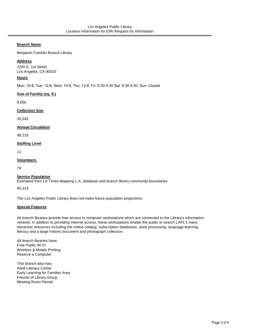#### **Branch Name**

Benjamin Franklin Branch Library

#### **Address**

2200 E. 1st Street Los Angeles, CA 90033

#### **Hours**

Mon: 10-8, Tue: 12-8, Wed: 10-8, Thu: 12-8, Fri: 9:30-5:30 Sat: 9:30-5:30, Sun: Closed

#### **Size of Facility (sq. ft.)**

9,656

#### **Collection Size**

35,545

#### **Annual Circulation**

98,218

#### **Staffing Level**

11

#### **Volunteers**

79

## **Service Population**

Estimated from LA Times Mapping L.A. database and branch library community boundaries

40,319

The Los Angeles Public Library does not make future population projections.

#### **Special Features**

All branch libraries provide free access to computer workstations which are connected to the Library's information network. In addition to providing Internet access, these workstations enable the public to search LAPL's many electronic resources including the online catalog, subscription databases, word processing, language learning, literacy and a large historic document and photograph collection.

All branch libraries have: Free Public Wi-Fi Wireless & Mobile Printing Reserve a Computer

This branch also has: Adult Literacy Center Early Learning for Families Area Friends of Library Group Meeting Room Rental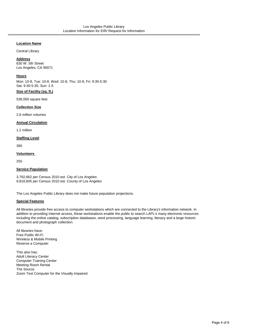#### **Location Name**

Central Library

#### **Address**

630 W. 5th Street Los Angeles, CA 90071

#### **Hours**

Mon: 10-8, Tue: 10-8, Wed: 10-8, Thu: 10-8, Fri: 9:30-5:30 Sat: 9:30-5:30, Sun: 1-5

#### **Size of Facility (sq. ft.)**

538,000 square feet

#### **Collection Size**

2.6 million volumes

#### **Annual Circulation**

1.2 million

## **Staffing Level**

390

#### **Volunteers**

250

#### **Service Population**

3,792,662 per Census 2010 est. City of Los Angeles 9,818,605 per Census 2010 est. County of Los Angeles

The Los Angeles Public Library does not make future population projections.

## **Special Features**

All libraries provide free access to computer workstations which are connected to the Library's information network. In addition to providing Internet access, these workstations enable the public to search LAPL's many electronic resources including the online catalog, subscription databases, word processing, language learning, literacy and a large historic document and photograph collection.

All libraries have: Free Public Wi-Fi Wireless & Mobile Printing Reserve a Computer

This also has: Adult Literacy Center Computer Training Center Meeting Room Rental The Source Zoom Text Computer for the Visually Impaired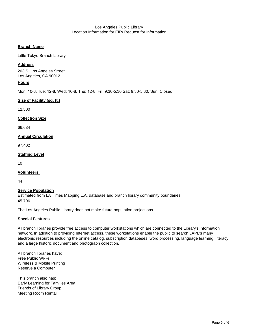## **Branch Name**

Little Tokyo Branch Library

## **Address**

203 S. Los Angeles Street Los Angeles, CA 90012

## **Hours**

Mon: 10-8, Tue: 12-8, Wed: 10-8, Thu: 12-8, Fri: 9:30-5:30 Sat: 9:30-5:30, Sun: Closed

## **Size of Facility (sq. ft.)**

12,500

## **Collection Size**

66,634

## **Annual Circulation**

97,402

## **Staffing Level**

10

## **Volunteers**

44

## **Service Population**

Estimated from LA Times Mapping L.A. database and branch library community boundaries 45,796

The Los Angeles Public Library does not make future population projections.

## **Special Features**

All branch libraries provide free access to computer workstations which are connected to the Library's information network. In addition to providing Internet access, these workstations enable the public to search LAPL's many electronic resources including the online catalog, subscription databases, word processing, language learning, literacy and a large historic document and photograph collection.

All branch libraries have: Free Public Wi-Fi Wireless & Mobile Printing Reserve a Computer

This branch also has: Early Learning for Families Area Friends of Library Group Meeting Room Rental